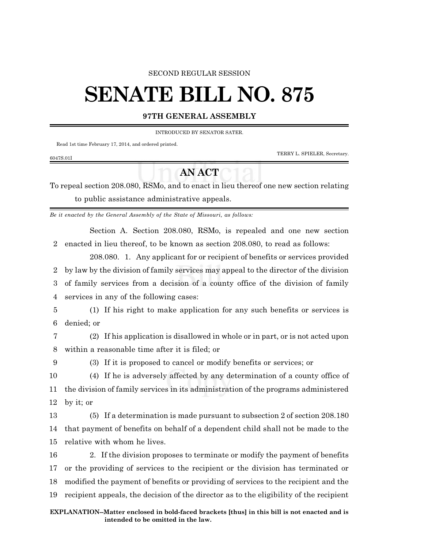### SECOND REGULAR SESSION

# **SENATE BILL NO. 875**

## **97TH GENERAL ASSEMBLY**

#### INTRODUCED BY SENATOR SATER.

Read 1st time February 17, 2014, and ordered printed.

6047S.01I

TERRY L. SPIELER, Secretary.

## **AN ACT**

To repeal section 208.080, RSMo, and to enact in lieu thereof one new section relating to public assistance administrative appeals.

*Be it enacted by the General Assembly of the State of Missouri, as follows:*

Section A. Section 208.080, RSMo, is repealed and one new section 2 enacted in lieu thereof, to be known as section 208.080, to read as follows:

208.080. 1. Any applicant for or recipient of benefits or services provided by law by the division of family services may appeal to the director of the division of family services from a decision of a county office of the division of family services in any of the following cases:

5 (1) If his right to make application for any such benefits or services is 6 denied; or

7 (2) If his application is disallowed in whole or in part, or is not acted upon 8 within a reasonable time after it is filed; or

9 (3) If it is proposed to cancel or modify benefits or services; or

10 (4) If he is adversely affected by any determination of a county office of 11 the division of family services in its administration of the programs administered 12 by it; or

13 (5) If a determination is made pursuant to subsection 2 of section 208.180 14 that payment of benefits on behalf of a dependent child shall not be made to the 15 relative with whom he lives.

 2. If the division proposes to terminate or modify the payment of benefits or the providing of services to the recipient or the division has terminated or modified the payment of benefits or providing of services to the recipient and the recipient appeals, the decision of the director as to the eligibility of the recipient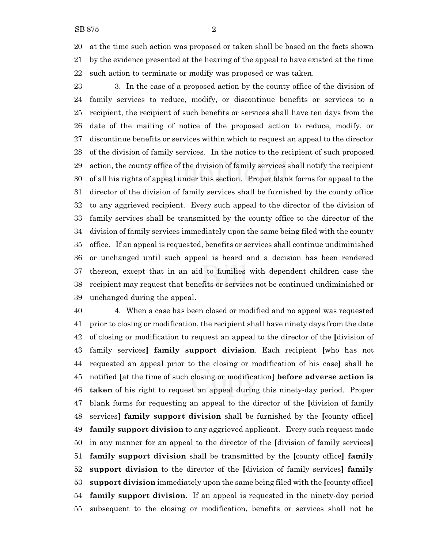at the time such action was proposed or taken shall be based on the facts shown by the evidence presented at the hearing of the appeal to have existed at the time such action to terminate or modify was proposed or was taken.

 3. In the case of a proposed action by the county office of the division of family services to reduce, modify, or discontinue benefits or services to a recipient, the recipient of such benefits or services shall have ten days from the date of the mailing of notice of the proposed action to reduce, modify, or discontinue benefits or services within which to request an appeal to the director of the division of family services. In the notice to the recipient of such proposed action, the county office of the division of family services shall notify the recipient of all his rights of appeal under this section. Proper blank forms for appeal to the director of the division of family services shall be furnished by the county office to any aggrieved recipient. Every such appeal to the director of the division of family services shall be transmitted by the county office to the director of the division of family services immediately upon the same being filed with the county office. If an appeal is requested, benefits or services shall continue undiminished or unchanged until such appeal is heard and a decision has been rendered thereon, except that in an aid to families with dependent children case the recipient may request that benefits or services not be continued undiminished or unchanged during the appeal.

 4. When a case has been closed or modified and no appeal was requested prior to closing or modification, the recipient shall have ninety days from the date of closing or modification to request an appeal to the director of the **[**division of family services**] family support division**. Each recipient **[**who has not requested an appeal prior to the closing or modification of his case**]** shall be notified **[**at the time of such closing or modification**] before adverse action is taken** of his right to request an appeal during this ninety-day period. Proper blank forms for requesting an appeal to the director of the **[**division of family services**] family support division** shall be furnished by the **[**county office**] family support division** to any aggrieved applicant. Every such request made in any manner for an appeal to the director of the **[**division of family services**] family support division** shall be transmitted by the **[**county office**] family support division** to the director of the **[**division of family services**] family support division** immediately upon the same being filed with the **[**county office**] family support division**. If an appeal is requested in the ninety-day period subsequent to the closing or modification, benefits or services shall not be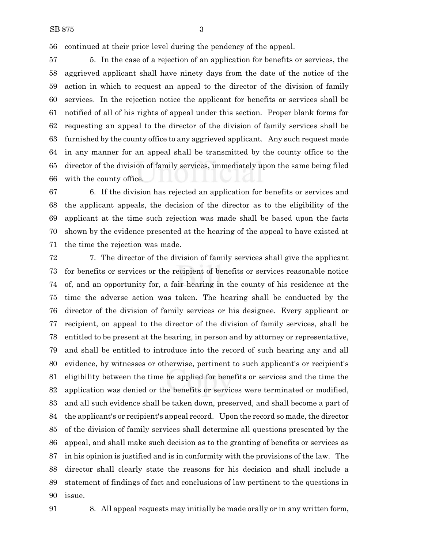continued at their prior level during the pendency of the appeal.

 5. In the case of a rejection of an application for benefits or services, the aggrieved applicant shall have ninety days from the date of the notice of the action in which to request an appeal to the director of the division of family services. In the rejection notice the applicant for benefits or services shall be notified of all of his rights of appeal under this section. Proper blank forms for requesting an appeal to the director of the division of family services shall be furnished by the county office to any aggrieved applicant. Any such request made in any manner for an appeal shall be transmitted by the county office to the director of the division of family services, immediately upon the same being filed with the county office.

 6. If the division has rejected an application for benefits or services and the applicant appeals, the decision of the director as to the eligibility of the applicant at the time such rejection was made shall be based upon the facts shown by the evidence presented at the hearing of the appeal to have existed at the time the rejection was made.

 7. The director of the division of family services shall give the applicant for benefits or services or the recipient of benefits or services reasonable notice of, and an opportunity for, a fair hearing in the county of his residence at the time the adverse action was taken. The hearing shall be conducted by the director of the division of family services or his designee. Every applicant or recipient, on appeal to the director of the division of family services, shall be entitled to be present at the hearing, in person and by attorney or representative, and shall be entitled to introduce into the record of such hearing any and all evidence, by witnesses or otherwise, pertinent to such applicant's or recipient's eligibility between the time he applied for benefits or services and the time the application was denied or the benefits or services were terminated or modified, and all such evidence shall be taken down, preserved, and shall become a part of the applicant's or recipient's appeal record. Upon the record so made, the director of the division of family services shall determine all questions presented by the appeal, and shall make such decision as to the granting of benefits or services as in his opinion is justified and is in conformity with the provisions of the law. The director shall clearly state the reasons for his decision and shall include a statement of findings of fact and conclusions of law pertinent to the questions in issue.

8. All appeal requests may initially be made orally or in any written form,